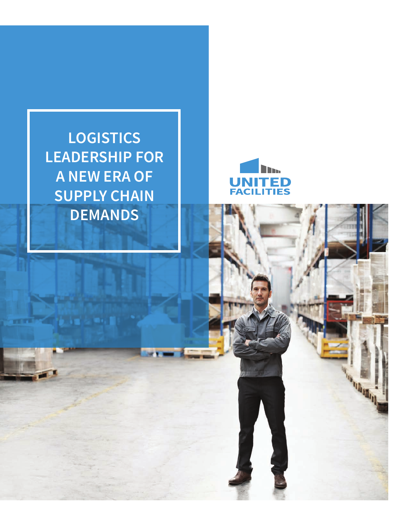**LOGISTICS LEADERSHIP FOR A NEW ERA OF SUPPLY CHAIN DEMANDS**

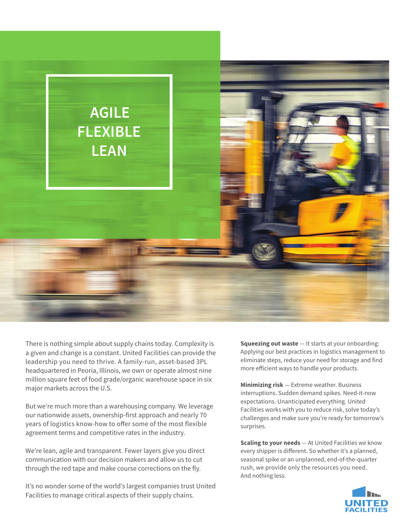

There is nothing simple about supply chains today. Complexity is a given and change is a constant. United Facilities can provide the leadership you need to thrive. A family-run, asset-based 3PL headquartered in Peoria, Illinois, we own or operate almost nine million square feet of food grade/organic warehouse space in six major markets across the U.S.

But we're much more than a warehousing company. We leverage our nationwide assets, ownership-first approach and nearly 70 years of logistics know-how to offer some of the most flexible agreement terms and competitive rates in the industry.

We're lean, agile and transparent. Fewer layers give you direct communication with our decision makers and allow us to cut through the red tape and make course corrections on the fly.

It's no wonder some of the world's largest companies trust United Facilities to manage critical aspects of their supply chains.

**Squeezing out waste** — It starts at your onboarding: Applying our best practices in logistics management to eliminate steps, reduce your need for storage and find more efficient ways to handle your products.

**Minimizing risk** — Extreme weather. Business interruptions. Sudden demand spikes. Need-it-now expectations. Unanticipated everything. United Facilities works with you to reduce risk, solve today's challenges and make sure you're ready for tomorrow's surprises.

**Scaling to your needs** — At United Facilities we know every shipper is different. So whether it's a planned, seasonal spike or an unplanned, end-of-the-quarter rush, we provide only the resources you need. And nothing less.

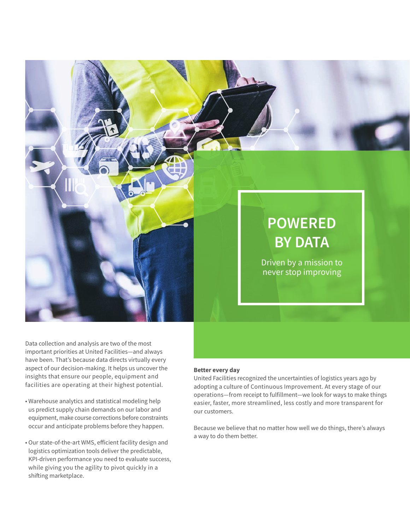

## **POWERED BY DATA**

Driven by a mission to never stop improving

Data collection and analysis are two of the most important priorities at United Facilities—and always have been. That's because data directs virtually every aspect of our decision-making. It helps us uncover the insights that ensure our people, equipment and facilities are operating at their highest potential.

- Warehouse analytics and statistical modeling help us predict supply chain demands on our labor and equipment, make course corrections before constraints occur and anticipate problems before they happen.
- Our state-of-the-art WMS, efficient facility design and logistics optimization tools deliver the predictable, KPI-driven performance you need to evaluate success, while giving you the agility to pivot quickly in a shifting marketplace.

## **Better every day**

United Facilities recognized the uncertainties of logistics years ago by adopting a culture of Continuous Improvement. At every stage of our operations—from receipt to fulfillment—we look for ways to make things easier, faster, more streamlined, less costly and more transparent for our customers.

Because we believe that no matter how well we do things, there's always a way to do them better.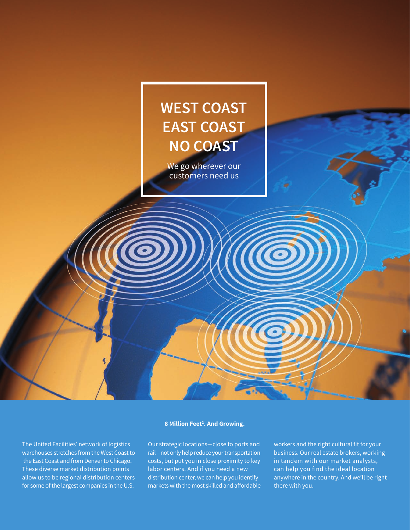

The United Facilities' network of logistics warehouses stretches from the West Coast to the East Coast and from Denver to Chicago. These diverse market distribution points allow us to be regional distribution centers for some of the largest companies in the U.S.

## **8 Million Feet2 . And Growing.**

Our strategic locations—close to ports and rail—not only help reduce your transportation costs, but put you in close proximity to key labor centers. And if you need a new distribution center, we can help you identify markets with the most skilled and affordable workers and the right cultural fit for your business. Our real estate brokers, working in tandem with our market analysts, can help you find the ideal location anywhere in the country. And we'll be right there with you.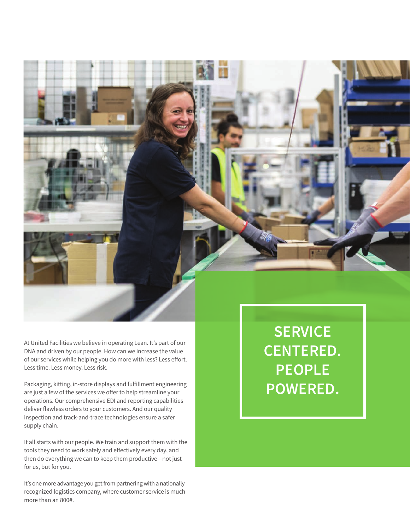

At United Facilities we believe in operating Lean. It's part of our DNA and driven by our people. How can we increase the value of our services while helping you do more with less? Less effort. Less time. Less money. Less risk.

Packaging, kitting, in-store displays and fulfillment engineering are just a few of the services we offer to help streamline your operations. Our comprehensive EDI and reporting capabilities deliver flawless orders to your customers. And our quality inspection and track-and-trace technologies ensure a safer supply chain.

It all starts with our people. We train and support them with the tools they need to work safely and effectively every day, and then do everything we can to keep them productive—not just for us, but for you.

It's one more advantage you get from partnering with a nationally recognized logistics company, where customer service is much more than an 800#.

**SERVICE CENTERED. PEOPLE POWERED.**